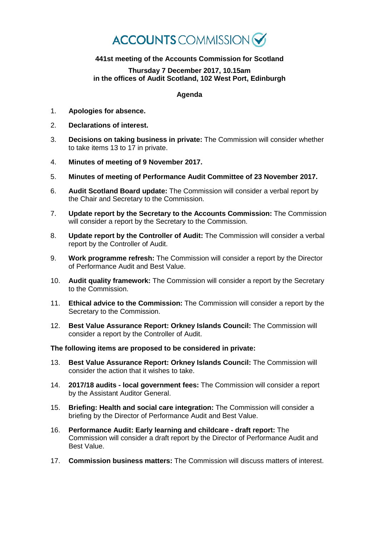# **ACCOUNTS** COMMISSION

## **441st meeting of the Accounts Commission for Scotland**

#### **Thursday 7 December 2017, 10.15am in the offices of Audit Scotland, 102 West Port, Edinburgh**

### **Agenda**

- 1. **Apologies for absence.**
- 2. **Declarations of interest.**
- 3. **Decisions on taking business in private:** The Commission will consider whether to take items 13 to 17 in private.
- 4. **Minutes of meeting of 9 November 2017.**
- 5. **Minutes of meeting of Performance Audit Committee of 23 November 2017.**
- 6. **Audit Scotland Board update:** The Commission will consider a verbal report by the Chair and Secretary to the Commission.
- 7. **Update report by the Secretary to the Accounts Commission:** The Commission will consider a report by the Secretary to the Commission.
- 8. **Update report by the Controller of Audit:** The Commission will consider a verbal report by the Controller of Audit.
- 9. **Work programme refresh:** The Commission will consider a report by the Director of Performance Audit and Best Value.
- 10. **Audit quality framework:** The Commission will consider a report by the Secretary to the Commission.
- 11. **Ethical advice to the Commission:** The Commission will consider a report by the Secretary to the Commission.
- 12. **Best Value Assurance Report: Orkney Islands Council:** The Commission will consider a report by the Controller of Audit.

#### **The following items are proposed to be considered in private:**

- 13. **Best Value Assurance Report: Orkney Islands Council:** The Commission will consider the action that it wishes to take.
- 14. **2017/18 audits - local government fees:** The Commission will consider a report by the Assistant Auditor General.
- 15. **Briefing: Health and social care integration:** The Commission will consider a briefing by the Director of Performance Audit and Best Value.
- 16. **Performance Audit: Early learning and childcare - draft report:** The Commission will consider a draft report by the Director of Performance Audit and Best Value.
- 17. **Commission business matters:** The Commission will discuss matters of interest.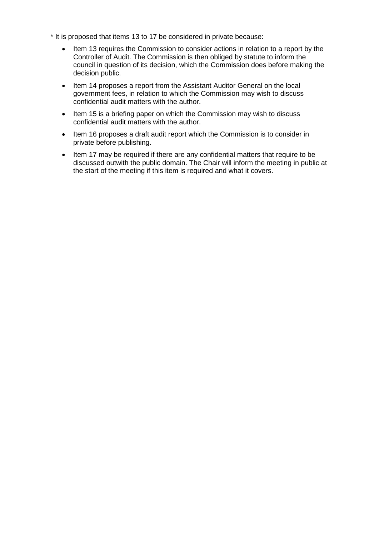- \* It is proposed that items 13 to 17 be considered in private because:
	- Item 13 requires the Commission to consider actions in relation to a report by the Controller of Audit. The Commission is then obliged by statute to inform the council in question of its decision, which the Commission does before making the decision public.
	- Item 14 proposes a report from the Assistant Auditor General on the local government fees, in relation to which the Commission may wish to discuss confidential audit matters with the author.
	- Item 15 is a briefing paper on which the Commission may wish to discuss confidential audit matters with the author.
	- Item 16 proposes a draft audit report which the Commission is to consider in private before publishing.
	- Item 17 may be required if there are any confidential matters that require to be discussed outwith the public domain. The Chair will inform the meeting in public at the start of the meeting if this item is required and what it covers.